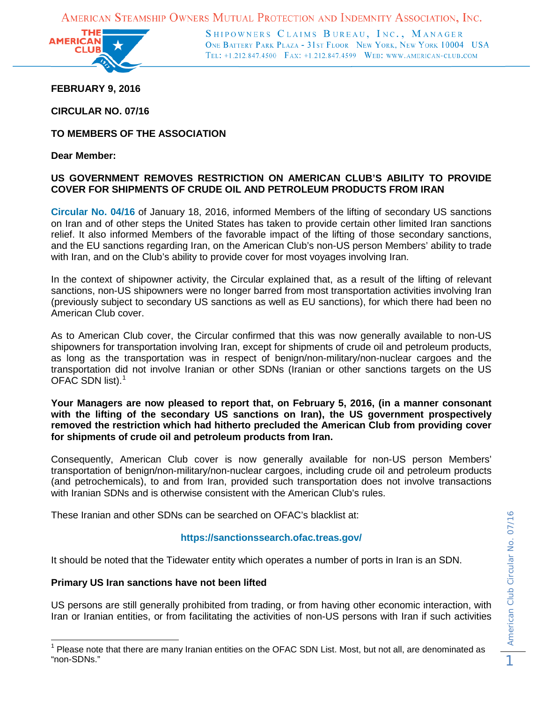AMERICAN STEAMSHIP OWNERS MUTUAL PROTECTION AND INDEMNITY ASSOCIATION, INC.



SHIPOWNERS CLAIMS BUREAU, INC., MANAGER ONE BATTERY PARK PLAZA - 31ST FLOOR NEW YORK, NEW YORK 10004 USA TEL: +1.212.847.4500 FAX: +1.212.847.4599 WEB: WWW.AMERICAN-CLUB.COM

**FEBRUARY 9, 2016**

**CIRCULAR NO. 07/16**

**TO MEMBERS OF THE ASSOCIATION** 

**Dear Member:**

## **US GOVERNMENT REMOVES RESTRICTION ON AMERICAN CLUB'S ABILITY TO PROVIDE COVER FOR SHIPMENTS OF CRUDE OIL AND PETROLEUM PRODUCTS FROM IRAN**

**[Circular No. 04/16](http://www.american-club.com/files/files/cir_04_16.pdf)** of January 18, 2016, informed Members of the lifting of secondary US sanctions on Iran and of other steps the United States has taken to provide certain other limited Iran sanctions relief. It also informed Members of the favorable impact of the lifting of those secondary sanctions, and the EU sanctions regarding Iran, on the American Club's non-US person Members' ability to trade with Iran, and on the Club's ability to provide cover for most voyages involving Iran.

In the context of shipowner activity, the Circular explained that, as a result of the lifting of relevant sanctions, non-US shipowners were no longer barred from most transportation activities involving Iran (previously subject to secondary US sanctions as well as EU sanctions), for which there had been no American Club cover.

As to American Club cover, the Circular confirmed that this was now generally available to non-US shipowners for transportation involving Iran, except for shipments of crude oil and petroleum products, as long as the transportation was in respect of benign/non-military/non-nuclear cargoes and the transportation did not involve Iranian or other SDNs (Iranian or other sanctions targets on the US OFAC SDN list). $^1$  $^1$ 

**Your Managers are now pleased to report that, on February 5, 2016, (in a manner consonant with the lifting of the secondary US sanctions on Iran), the US government prospectively removed the restriction which had hitherto precluded the American Club from providing cover for shipments of crude oil and petroleum products from Iran.** 

Consequently, American Club cover is now generally available for non-US person Members' transportation of benign/non-military/non-nuclear cargoes, including crude oil and petroleum products (and petrochemicals), to and from Iran, provided such transportation does not involve transactions with Iranian SDNs and is otherwise consistent with the American Club's rules.

These Iranian and other SDNs can be searched on OFAC's blacklist at:

## **<https://sanctionssearch.ofac.treas.gov/>**

It should be noted that the Tidewater entity which operates a number of ports in Iran is an SDN.

## **Primary US Iran sanctions have not been lifted**

US persons are still generally prohibited from trading, or from having other economic interaction, with Iran or Iranian entities, or from facilitating the activities of non-US persons with Iran if such activities

<span id="page-0-0"></span> $1$  Please note that there are many Iranian entities on the OFAC SDN List. Most, but not all, are denominated as "non-SDNs."